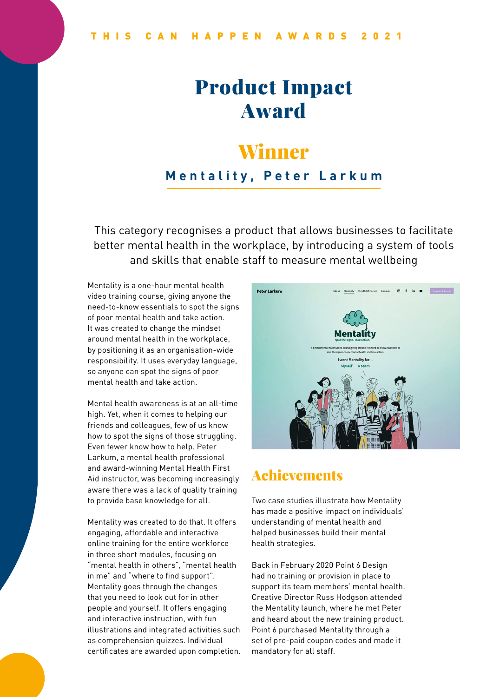# Product Impact Award

## Winner

#### **Mentality, Peter Larkum**

This category recognises a product that allows businesses to facilitate better mental health in the workplace, by introducing a system of tools and skills that enable staff to measure mental wellbeing

Mentality is a one-hour mental health video training course, giving anyone the need-to-know essentials to spot the signs of poor mental health and take action. It was created to change the mindset around mental health in the workplace, by positioning it as an organisation-wide responsibility. It uses everyday language, so anyone can spot the signs of poor mental health and take action.

Mental health awareness is at an all-time high. Yet, when it comes to helping our friends and colleagues, few of us know how to spot the signs of those struggling. Even fewer know how to help. Peter Larkum, a mental health professional and award-winning Mental Health First Aid instructor, was becoming increasingly aware there was a lack of quality training to provide base knowledge for all.

Mentality was created to do that. It offers engaging, affordable and interactive online training for the entire workforce in three short modules, focusing on "mental health in others", "mental health in me" and "where to find support". Mentality goes through the changes that you need to look out for in other people and yourself. It offers engaging and interactive instruction, with fun illustrations and integrated activities such as comprehension quizzes. Individual certificates are awarded upon completion.



#### Achievements

Two case studies illustrate how Mentality has made a positive impact on individuals' understanding of mental health and helped businesses build their mental health strategies.

Back in February 2020 Point 6 Design had no training or provision in place to support its team members' mental health. Creative Director Russ Hodgson attended the Mentality launch, where he met Peter and heard about the new training product. Point 6 purchased Mentality through a set of pre-paid coupon codes and made it mandatory for all staff.